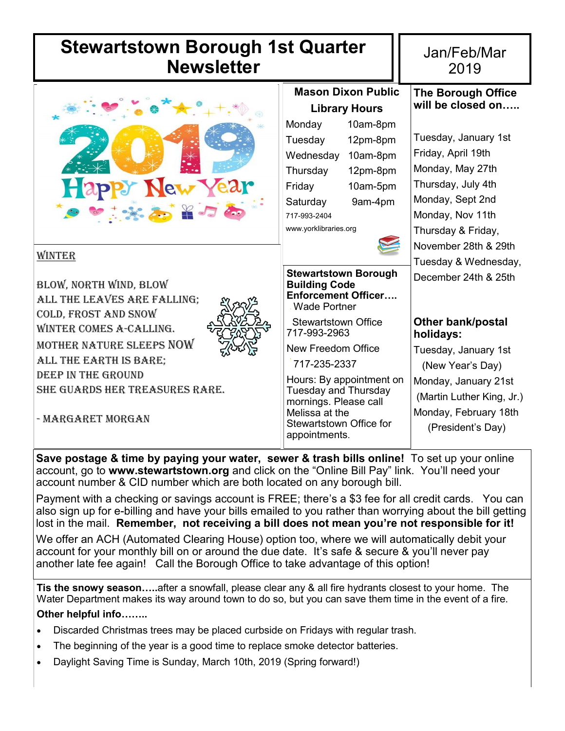| <b>Stewartstown Borough 1st Quarter</b><br><b>Newsletter</b>                                                                                                                                                                                          |                                                                                                                                                                                                                                           | Jan/Feb/Mar<br>2019                                                                                                                                                                                  |  |
|-------------------------------------------------------------------------------------------------------------------------------------------------------------------------------------------------------------------------------------------------------|-------------------------------------------------------------------------------------------------------------------------------------------------------------------------------------------------------------------------------------------|------------------------------------------------------------------------------------------------------------------------------------------------------------------------------------------------------|--|
| Happy New Year<br>● 無為者の                                                                                                                                                                                                                              | <b>Mason Dixon Public</b><br><b>Library Hours</b><br>10am-8pm<br>Monday<br>Tuesday<br>12pm-8pm<br>Wednesday<br>10am-8pm<br>Thursday<br>12pm-8pm<br>Friday<br>10am-5pm<br>Saturday<br>9am-4pm<br>717-993-2404<br>www.yorklibraries.org     | <b>The Borough Office</b><br>will be closed on<br>Tuesday, January 1st<br>Friday, April 19th<br>Monday, May 27th<br>Thursday, July 4th<br>Monday, Sept 2nd<br>Monday, Nov 11th<br>Thursday & Friday, |  |
| WINTER<br>BLOW, NORTH WIND, BLOW<br>ALL THE LEAVES ARE FALLING;<br>COLD, FROST AND SNOW<br>WINTER COMES A-CALLING.<br>MOTHER NATURE SLEEPS NOW<br>ALL THE EARTH IS BARE;<br>DEEP IN THE GROUND<br>SHE GUARDS HER TREASURES RARE.<br>- MARGARET MORGAN | <b>Stewartstown Borough</b><br><b>Building Code</b><br><b>Enforcement Officer</b><br>Wade Portner                                                                                                                                         | November 28th & 29th<br>Tuesday & Wednesday,<br>December 24th & 25th                                                                                                                                 |  |
|                                                                                                                                                                                                                                                       | <b>Stewartstown Office</b><br>717-993-2963<br>New Freedom Office<br>717-235-2337<br>Hours: By appointment on<br><b>Tuesday and Thursday</b><br>mornings. Please call<br>Melissa at the<br><b>Stewartstown Office for</b><br>appointments. | <b>Other bank/postal</b><br>holidays:<br>Tuesday, January 1st<br>(New Year's Day)<br>Monday, January 21st<br>(Martin Luther King, Jr.)<br>Monday, February 18th<br>(President's Day)                 |  |

**Save postage & time by paying your water, sewer & trash bills online!** To set up your online account, go to **www.stewartstown.org** and click on the "Online Bill Pay" link. You'll need your account number & CID number which are both located on any borough bill.

Payment with a checking or savings account is FREE; there's a \$3 fee for all credit cards. You can also sign up for e-billing and have your bills emailed to you rather than worrying about the bill getting lost in the mail. **Remember, not receiving a bill does not mean you're not responsible for it!** 

We offer an ACH (Automated Clearing House) option too, where we will automatically debit your account for your monthly bill on or around the due date. It's safe & secure & you'll never pay another late fee again! Call the Borough Office to take advantage of this option!

**Tis the snowy season…..**after a snowfall, please clear any & all fire hydrants closest to your home. The Water Department makes its way around town to do so, but you can save them time in the event of a fire. **Other helpful info……..**

- Discarded Christmas trees may be placed curbside on Fridays with regular trash.
- The beginning of the year is a good time to replace smoke detector batteries.
- Daylight Saving Time is Sunday, March 10th, 2019 (Spring forward!)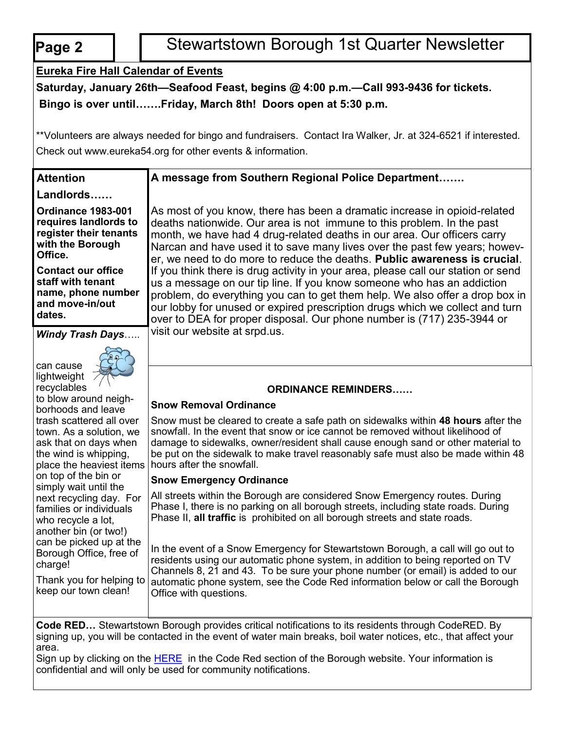|  | O |  |
|--|---|--|
|  |   |  |

**Attention**

**Landlords……**

# **Pape 2 Page 2** Stewartstown Borough 1st Quarter Newsletter

# **Eureka Fire Hall Calendar of Events**

**Saturday, January 26th—Seafood Feast, begins @ 4:00 p.m.—Call 993-9436 for tickets. Bingo is over until…….Friday, March 8th! Doors open at 5:30 p.m.** 

\*\*Volunteers are always needed for bingo and fundraisers. Contact Ira Walker, Jr. at 324-6521 if interested. Check out www.eureka54.org for other events & information.

## **A message from Southern Regional Police Department…….**

**Ordinance 1983-001 requires landlords to register their tenants with the Borough Office.** 

**Contact our office staff with tenant name, phone number and move-in/out dates.** 

*Windy Trash Days*…..

can cause lightweight recyclables



to blow around neighborhoods and leave trash scattered all over town. As a solution, we ask that on days when the wind is whipping, place the heaviest items on top of the bin or simply wait until the next recycling day. For families or individuals who recycle a lot, another bin (or two!) can be picked up at the Borough Office, free of charge!

Thank you for helping to keep our town clean!

As most of you know, there has been a dramatic increase in opioid-related deaths nationwide. Our area is not immune to this problem. In the past month, we have had 4 drug-related deaths in our area. Our officers carry Narcan and have used it to save many lives over the past few years; however, we need to do more to reduce the deaths. **Public awareness is crucial**. If you think there is drug activity in your area, please call our station or send us a message on our tip line. If you know someone who has an addiction problem, do everything you can to get them help. We also offer a drop box in our lobby for unused or expired prescription drugs which we collect and turn over to DEA for proper disposal. Our phone number is (717) 235-3944 or visit our website at srpd.us.

### **ORDINANCE REMINDERS……**

### **Snow Removal Ordinance**

Snow must be cleared to create a safe path on sidewalks within **48 hours** after the snowfall. In the event that snow or ice cannot be removed without likelihood of damage to sidewalks, owner/resident shall cause enough sand or other material to be put on the sidewalk to make travel reasonably safe must also be made within 48 hours after the snowfall.

### **Snow Emergency Ordinance**

All streets within the Borough are considered Snow Emergency routes. During Phase I, there is no parking on all borough streets, including state roads. During Phase II, **all traffic** is prohibited on all borough streets and state roads.

In the event of a Snow Emergency for Stewartstown Borough, a call will go out to residents using our automatic phone system, in addition to being reported on TV Channels 8, 21 and 43. To be sure your phone number (or email) is added to our automatic phone system, see the Code Red information below or call the Borough Office with questions.

**Code RED…** Stewartstown Borough provides critical notifications to its residents through CodeRED. By signing up, you will be contacted in the event of water main breaks, boil water notices, etc., that affect your area.

Sign up by clicking on the [HERE](https://public.coderedweb.com/cne/en-us/f9ec63def2b4) in the Code Red section of the Borough website. Your information is confidential and will only be used for community notifications.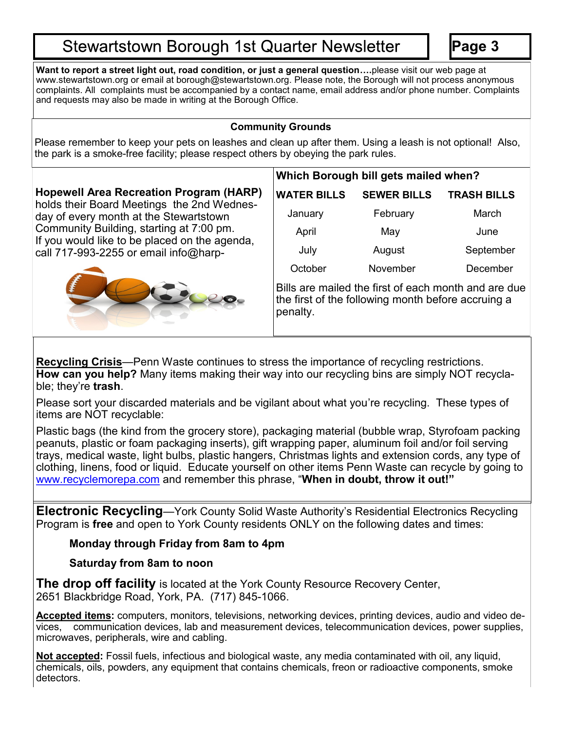# **Stewartstown Borough 1st Quarter Newsletter**

**Page 3**

**Want to report a street light out, road condition, or just a general question….**please visit our web page at www.stewartstown.org or email at borough@stewartstown.org. Please note, the Borough will not process anonymous complaints. All complaints must be accompanied by a contact name, email address and/or phone number. Complaints and requests may also be made in writing at the Borough Office.

### **Community Grounds**

Please remember to keep your pets on leashes and clean up after them. Using a leash is not optional! Also, the park is a smoke-free facility; please respect others by obeying the park rules.

## **Hopewell Area Recreation Program (HARP)**  holds their Board Meetings the 2nd Wednes-

day of every month at the Stewartstown Community Building, starting at 7:00 pm. If you would like to be placed on the agenda, call 717-993-2255 or email info@harp-



# **Which Borough bill gets mailed when?**

| WATER BILLS | <b>SEWER BILLS</b> | <b>TRASH BILLS</b> |
|-------------|--------------------|--------------------|
| January     | February           | March              |
| April       | May                | June               |
| July        | August             | September          |
| October     | November           | December           |

Bills are mailed the first of each month and are due the first of the following month before accruing a penalty.

**Recycling Crisis**—Penn Waste continues to stress the importance of recycling restrictions. **How can you help?** Many items making their way into our recycling bins are simply NOT recyclable; they're **trash**.

Please sort your discarded materials and be vigilant about what you're recycling. These types of items are NOT recyclable:

Plastic bags (the kind from the grocery store), packaging material (bubble wrap, Styrofoam packing peanuts, plastic or foam packaging inserts), gift wrapping paper, aluminum foil and/or foil serving trays, medical waste, light bulbs, plastic hangers, Christmas lights and extension cords, any type of clothing, linens, food or liquid. Educate yourself on other items Penn Waste can recycle by going to [www.recyclemorepa.com](http://www.recyclemorepa.com) and remember this phrase, "**When in doubt, throw it out!"**

**Electronic Recycling**—York County Solid Waste Authority's Residential Electronics Recycling Program is **free** and open to York County residents ONLY on the following dates and times:

# **Monday through Friday from 8am to 4pm**

# **Saturday from 8am to noon**

**The drop off facility** is located at the York County Resource Recovery Center, 2651 Blackbridge Road, York, PA. (717) 845-1066.

**Accepted items:** computers, monitors, televisions, networking devices, printing devices, audio and video devices, communication devices, lab and measurement devices, telecommunication devices, power supplies, microwaves, peripherals, wire and cabling.

**Not accepted:** Fossil fuels, infectious and biological waste, any media contaminated with oil, any liquid, chemicals, oils, powders, any equipment that contains chemicals, freon or radioactive components, smoke detectors.